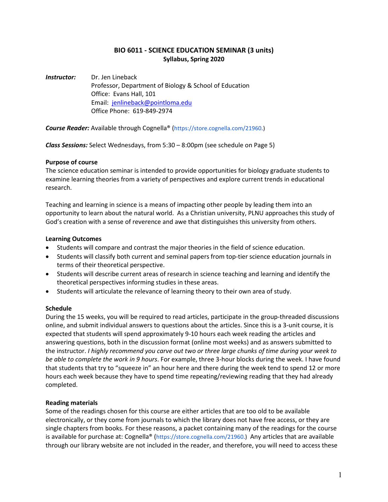## **BIO 6011 - SCIENCE EDUCATION SEMINAR (3 units) Syllabus, Spring 2020**

**Instructor:** Dr. Jen Lineback Professor, Department of Biology & School of Education Office: Evans Hall, 101 Email: [jenlineback@pointloma.edu](mailto:jenlineback@pointloma.edu) Office Phone: 619-849-2974

*Course Reader:* Available through Cognella® [\(https://store.cognella.com/21960.](https://store.cognella.com/21960))

*Class Sessions:* Select Wednesdays, from 5:30 – 8:00pm (see schedule on Page 5)

## **Purpose of course**

The science education seminar is intended to provide opportunities for biology graduate students to examine learning theories from a variety of perspectives and explore current trends in educational research.

Teaching and learning in science is a means of impacting other people by leading them into an opportunity to learn about the natural world. As a Christian university, PLNU approaches this study of God's creation with a sense of reverence and awe that distinguishes this university from others.

## **Learning Outcomes**

- Students will compare and contrast the major theories in the field of science education.
- Students will classify both current and seminal papers from top-tier science education journals in terms of their theoretical perspective.
- Students will describe current areas of research in science teaching and learning and identify the theoretical perspectives informing studies in these areas.
- Students will articulate the relevance of learning theory to their own area of study.

### **Schedule**

During the 15 weeks, you will be required to read articles, participate in the group-threaded discussions online, and submit individual answers to questions about the articles. Since this is a 3-unit course, it is expected that students will spend approximately 9-10 hours each week reading the articles and answering questions, both in the discussion format (online most weeks) and as answers submitted to the instructor. *I highly recommend you carve out two or three large chunks of time during your week to be able to complete the work in 9 hours*. For example, three 3-hour blocks during the week. I have found that students that try to "squeeze in" an hour here and there during the week tend to spend 12 or more hours each week because they have to spend time repeating/reviewing reading that they had already completed.

### **Reading materials**

Some of the readings chosen for this course are either articles that are too old to be available electronically, or they come from journals to which the library does not have free access, or they are single chapters from books. For these reasons, a packet containing many of the readings for the course is available for purchase at: Cognella® [\(https://store.cognella.com/21960.\)](https://store.cognella.com/21960) Any articles that are available through our library website are not included in the reader, and therefore, you will need to access these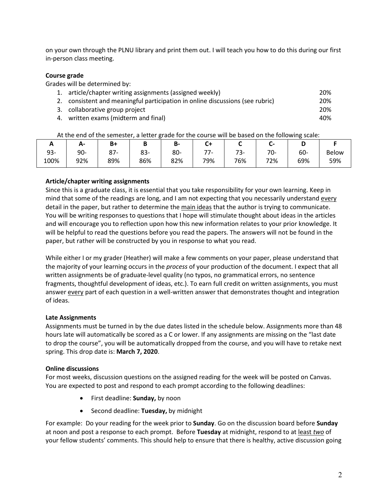on your own through the PLNU library and print them out. I will teach you how to do this during our first in-person class meeting.

### **Course grade**

Grades will be determined by:

| 1. article/chapter writing assignments (assigned weekly)                      | 20% |
|-------------------------------------------------------------------------------|-----|
| 2. consistent and meaningful participation in online discussions (see rubric) | 20% |
| 3. collaborative group project                                                | 20% |
| 4. written exams (midterm and final)                                          | 40% |

At the end of the semester, a letter grade for the course will be based on the following scale:

| . .  | А-  | B+  |     | D-  |                          |                                | - -        |     |              |
|------|-----|-----|-----|-----|--------------------------|--------------------------------|------------|-----|--------------|
| 93-  | 90- | ດ¬  | 83- | 80- | $\overline{\phantom{a}}$ | $\overline{\phantom{a}}$<br>ာ- | 70<br>∕ ∪- | 60- | <b>Below</b> |
| 100% | 92% | 89% | 86% | 82% | 79%                      | 76%                            | 72%        | 69% | 59%          |

## **Article/chapter writing assignments**

Since this is a graduate class, it is essential that you take responsibility for your own learning. Keep in mind that some of the readings are long, and I am not expecting that you necessarily understand every detail in the paper, but rather to determine the main ideas that the author is trying to communicate. You will be writing responses to questions that I hope will stimulate thought about ideas in the articles and will encourage you to reflection upon how this new information relates to your prior knowledge. It will be helpful to read the questions before you read the papers. The answers will not be found in the paper, but rather will be constructed by you in response to what you read.

While either I or my grader (Heather) will make a few comments on your paper, please understand that the majority of your learning occurs in the *process* of your production of the document. I expect that all written assignments be of graduate-level quality (no typos, no grammatical errors, no sentence fragments, thoughtful development of ideas, etc.). To earn full credit on written assignments, you must answer every part of each question in a well-written answer that demonstrates thought and integration of ideas.

## **Late Assignments**

Assignments must be turned in by the due dates listed in the schedule below. Assignments more than 48 hours late will automatically be scored as a C or lower. If any assignments are missing on the "last date to drop the course", you will be automatically dropped from the course, and you will have to retake next spring. This drop date is: **March 7, 2020**.

### **Online discussions**

For most weeks, discussion questions on the assigned reading for the week will be posted on Canvas. You are expected to post and respond to each prompt according to the following deadlines:

- First deadline: **Sunday,** by noon
- Second deadline: **Tuesday,** by midnight

For example: Do your reading for the week prior to **Sunday**. Go on the discussion board before **Sunday** at noon and post a response to each prompt. Before **Tuesday** at midnight, respond to at least *two* of your fellow students' comments. This should help to ensure that there is healthy, active discussion going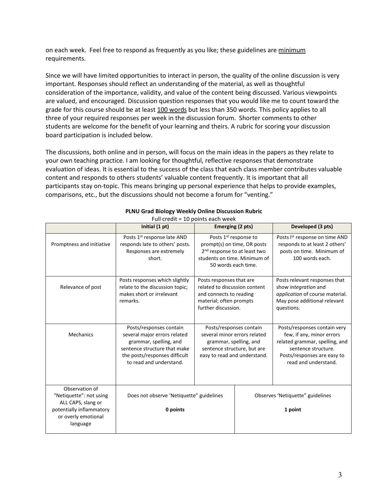on each week. Feel free to respond as frequently as you like; these guidelines are minimum requirements.

Since we will have limited opportunities to interact in person, the quality of the online discussion is very important. Responses should reflect an understanding of the material, as well as thoughtful consideration of the importance, validity, and value of the content being discussed. Various viewpoints are valued, and encouraged. Discussion question responses that you would like me to count toward the grade for this course should be at least 100 words but less than 350 words. This policy applies to all three of your required responses per week in the discussion forum. Shorter comments to other students are welcome for the benefit of your learning and theirs. A rubric for scoring your discussion board participation is included below.

The discussions, both online and in person, will focus on the main ideas in the papers as they relate to your own teaching practice. I am looking for thoughtful, reflective responses that demonstrate evaluation of ideas. It is essential to the success of the class that each class member contributes valuable content and responds to others students' valuable content frequently. It is important that all participants stay on-topic. This means bringing up personal experience that helps to provide examples, comparisons, etc., but the discussions should not become a forum for "venting."

|                                                                                                                                | Initial (1 pt)                                                                                                                                                                | Emerging (2 pts)                                                                                                                                                    |  | Developed (3 pts)                                                                                                                                                         |  |
|--------------------------------------------------------------------------------------------------------------------------------|-------------------------------------------------------------------------------------------------------------------------------------------------------------------------------|---------------------------------------------------------------------------------------------------------------------------------------------------------------------|--|---------------------------------------------------------------------------------------------------------------------------------------------------------------------------|--|
| Promptness and initiative                                                                                                      | Posts 1st response late AND<br>responds late to others' posts.<br>Responses are extremely<br>short.                                                                           | Posts 1 <sup>st</sup> response to<br>prompt(s) on time, OR posts<br>2 <sup>nd</sup> response to at least two<br>students on time. Minimum of<br>50 words each time. |  | Posts Ist response on time AND<br>responds to at least 2 others'<br>posts on time. Minimum of<br>100 words each.                                                          |  |
| Relevance of post                                                                                                              | Posts responses which slightly<br>relate to the discussion topic;<br>makes short or irrelevant<br>remarks.                                                                    | Posts responses that are<br>related to discussion content<br>and connects to reading<br>material; often prompts<br>further discussion.                              |  | Posts relevant responses that<br>show integration and<br>application of course material.<br>May pose additional relevant<br>questions.                                    |  |
| <b>Mechanics</b>                                                                                                               | Posts/responses contain<br>several major errors related<br>grammar, spelling, and<br>sentence structure that make<br>the posts/responses difficult<br>to read and understand. | Posts/responses contain<br>several minor errors related<br>grammar, spelling, and<br>sentence structure, but are<br>easy to read and understand.                    |  | Posts/responses contain very<br>few, if any, minor errors<br>related grammar, spelling, and<br>sentence structure.<br>Posts/responses are easy to<br>read and understand. |  |
| Observation of<br>"Netiquette": not using<br>ALL CAPS, slang or<br>potentially inflammatory<br>or overly emotional<br>language | Does not observe 'Netiquette" guidelines<br>0 points                                                                                                                          |                                                                                                                                                                     |  | Observes 'Netiquette" guidelines<br>1 point                                                                                                                               |  |

#### **PLNU Grad Biology Weekly Online Discussion Rubric** Full credit = 10 points each week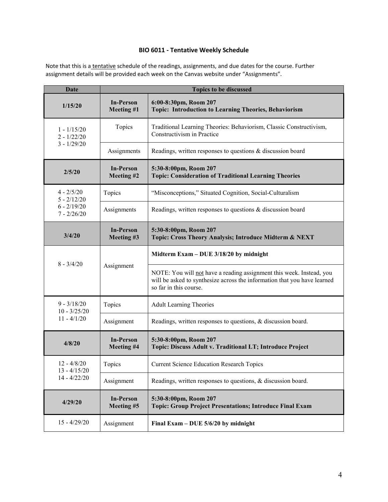# **BIO 6011 - Tentative Weekly Schedule**

Note that this is a tentative schedule of the readings, assignments, and due dates for the course. Further assignment details will be provided each week on the Canvas website under "Assignments".

| <b>Date</b>                              |                                | <b>Topics to be discussed</b>                                                                                                                                              |  |  |  |
|------------------------------------------|--------------------------------|----------------------------------------------------------------------------------------------------------------------------------------------------------------------------|--|--|--|
| 1/15/20                                  | <b>In-Person</b><br>Meeting #1 | 6:00-8:30pm, Room 207<br>Topic: Introduction to Learning Theories, Behaviorism                                                                                             |  |  |  |
| $1 - 1/15/20$<br>$2 - 1/22/20$           | Topics                         | Traditional Learning Theories: Behaviorism, Classic Constructivism,<br>Constructivism in Practice                                                                          |  |  |  |
| $3 - 1/29/20$                            | Assignments                    | Readings, written responses to questions & discussion board                                                                                                                |  |  |  |
| 2/5/20                                   | <b>In-Person</b><br>Meeting #2 | 5:30-8:00pm, Room 207<br><b>Topic: Consideration of Traditional Learning Theories</b>                                                                                      |  |  |  |
| $4 - \frac{2}{5}{20}$<br>$5 - 2/12/20$   | Topics                         | "Misconceptions," Situated Cognition, Social-Culturalism                                                                                                                   |  |  |  |
| $6 - 2/19/20$<br>$7 - 2/26/20$           | Assignments                    | Readings, written responses to questions & discussion board                                                                                                                |  |  |  |
| 3/4/20                                   | <b>In-Person</b><br>Meeting #3 | 5:30-8:00pm, Room 207<br>Topic: Cross Theory Analysis; Introduce Midterm & NEXT                                                                                            |  |  |  |
|                                          | Assignment                     | Midterm Exam - DUE 3/18/20 by midnight                                                                                                                                     |  |  |  |
| $8 - \frac{3}{4}/20$                     |                                | NOTE: You will not have a reading assignment this week. Instead, you<br>will be asked to synthesize across the information that you have learned<br>so far in this course. |  |  |  |
| $9 - 3/18/20$<br>$10 - \frac{3}{25/20}$  | Topics                         | <b>Adult Learning Theories</b>                                                                                                                                             |  |  |  |
| $11 - \frac{4}{1/20}$                    | Assignment                     | Readings, written responses to questions, & discussion board.                                                                                                              |  |  |  |
| 4/8/20                                   | <b>In-Person</b><br>Meeting #4 | 5:30-8:00pm, Room 207<br>Topic: Discuss Adult v. Traditional LT; Introduce Project                                                                                         |  |  |  |
| $12 - \frac{4}{8}{20}$<br>$13 - 4/15/20$ | Topics                         | <b>Current Science Education Research Topics</b>                                                                                                                           |  |  |  |
| $14 - 4/22/20$                           | Assignment                     | Readings, written responses to questions, & discussion board.                                                                                                              |  |  |  |
| 4/29/20                                  | <b>In-Person</b><br>Meeting #5 | 5:30-8:00pm, Room 207<br><b>Topic: Group Project Presentations; Introduce Final Exam</b>                                                                                   |  |  |  |
| $15 - \frac{4}{29/20}$                   | Assignment                     | Final Exam – DUE $5/6/20$ by midnight                                                                                                                                      |  |  |  |